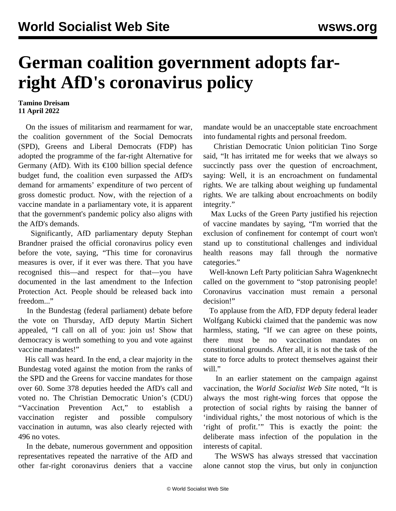## **German coalition government adopts farright AfD's coronavirus policy**

## **Tamino Dreisam 11 April 2022**

 On the issues of militarism and rearmament for war, the coalition government of the Social Democrats (SPD), Greens and Liberal Democrats (FDP) has adopted the programme of the far-right Alternative for Germany (AfD). With its  $\epsilon$ 100 billion special defence budget fund, the coalition even surpassed the AfD's demand for armaments' expenditure of two percent of gross domestic product. Now, with the rejection of a vaccine mandate in a parliamentary vote, it is apparent that the government's pandemic policy also aligns with the AfD's demands.

 Significantly, AfD parliamentary deputy Stephan Brandner praised the official coronavirus policy even before the vote, saying, "This time for coronavirus measures is over, if it ever was there. That you have recognised this—and respect for that—you have documented in the last amendment to the Infection Protection Act. People should be released back into freedom..."

 In the Bundestag (federal parliament) debate before the vote on Thursday, AfD deputy Martin Sichert appealed, "I call on all of you: join us! Show that democracy is worth something to you and vote against vaccine mandates!"

 His call was heard. In the end, a clear majority in the Bundestag voted against the motion from the ranks of the SPD and the Greens for vaccine mandates for those over 60. Some 378 deputies heeded the AfD's call and voted no. The Christian Democratic Union's (CDU) "Vaccination Prevention Act," to establish a vaccination register and possible compulsory vaccination in autumn, was also clearly rejected with 496 no votes.

 In the debate, numerous government and opposition representatives repeated the narrative of the AfD and other far-right coronavirus deniers that a vaccine mandate would be an unacceptable state encroachment into fundamental rights and personal freedom.

 Christian Democratic Union politician Tino Sorge said, "It has irritated me for weeks that we always so succinctly pass over the question of encroachment, saying: Well, it is an encroachment on fundamental rights. We are talking about weighing up fundamental rights. We are talking about encroachments on bodily integrity."

 Max Lucks of the Green Party justified his rejection of vaccine mandates by saying, "I'm worried that the exclusion of confinement for contempt of court won't stand up to constitutional challenges and individual health reasons may fall through the normative categories."

 Well-known Left Party politician Sahra Wagenknecht called on the government to "stop patronising people! Coronavirus vaccination must remain a personal decision!"

 To applause from the AfD, FDP deputy federal leader Wolfgang Kubicki claimed that the pandemic was now harmless, stating, "If we can agree on these points, there must be no vaccination mandates on constitutional grounds. After all, it is not the task of the state to force adults to protect themselves against their will."

 In an earlier [statement](/en/articles/2021/07/29/pers-j29.html) on the campaign against vaccination, the *World Socialist Web Site* noted, "It is always the most right-wing forces that oppose the protection of social rights by raising the banner of 'individual rights,' the most notorious of which is the 'right of profit.'" This is exactly the point: the deliberate mass infection of the population in the interests of capital.

 The WSWS has always stressed that vaccination alone cannot stop the virus, but only in conjunction